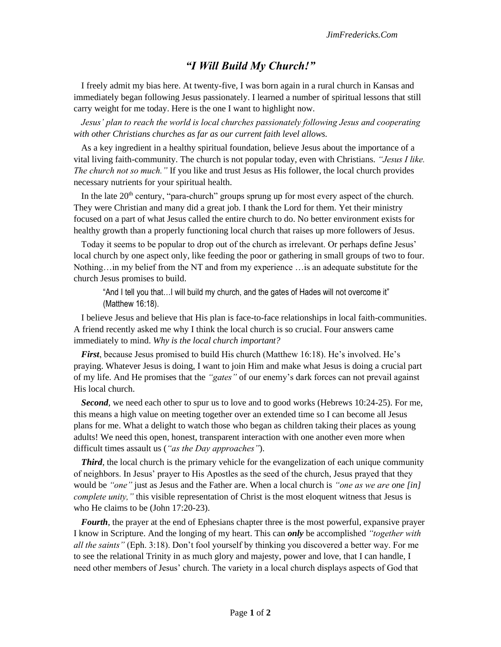## *"I Will Build My Church!"*

I freely admit my bias here. At twenty-five, I was born again in a rural church in Kansas and immediately began following Jesus passionately. I learned a number of spiritual lessons that still carry weight for me today. Here is the one I want to highlight now.

*Jesus' plan to reach the world is local churches passionately following Jesus and cooperating with other Christians churches as far as our current faith level allows.*

As a key ingredient in a healthy spiritual foundation, believe Jesus about the importance of a vital living faith-community. The church is not popular today, even with Christians. *"Jesus I like. The church not so much."* If you like and trust Jesus as His follower, the local church provides necessary nutrients for your spiritual health.

In the late  $20<sup>th</sup>$  century, "para-church" groups sprung up for most every aspect of the church. They were Christian and many did a great job. I thank the Lord for them. Yet their ministry focused on a part of what Jesus called the entire church to do. No better environment exists for healthy growth than a properly functioning local church that raises up more followers of Jesus.

Today it seems to be popular to drop out of the church as irrelevant. Or perhaps define Jesus' local church by one aspect only, like feeding the poor or gathering in small groups of two to four. Nothing…in my belief from the NT and from my experience …is an adequate substitute for the church Jesus promises to build.

"And I tell you that…I will build my church, and the gates of Hades will not overcome it" (Matthew 16:18).

I believe Jesus and believe that His plan is face-to-face relationships in local faith-communities. A friend recently asked me why I think the local church is so crucial. Four answers came immediately to mind. *Why is the local church important?*

*First*, because Jesus promised to build His church (Matthew 16:18). He's involved. He's praying. Whatever Jesus is doing, I want to join Him and make what Jesus is doing a crucial part of my life. And He promises that the *"gates"* of our enemy's dark forces can not prevail against His local church.

**Second**, we need each other to spur us to love and to good works (Hebrews 10:24-25). For me, this means a high value on meeting together over an extended time so I can become all Jesus plans for me. What a delight to watch those who began as children taking their places as young adults! We need this open, honest, transparent interaction with one another even more when difficult times assault us (*"as the Day approaches"*).

**Third**, the local church is the primary vehicle for the evangelization of each unique community of neighbors. In Jesus' prayer to His Apostles as the seed of the church, Jesus prayed that they would be *"one"* just as Jesus and the Father are. When a local church is *"one as we are one [in] complete unity,"* this visible representation of Christ is the most eloquent witness that Jesus is who He claims to be (John 17:20-23).

*Fourth*, the prayer at the end of Ephesians chapter three is the most powerful, expansive prayer I know in Scripture. And the longing of my heart. This can *only* be accomplished *"together with all the saints"* (Eph. 3:18). Don't fool yourself by thinking you discovered a better way. For me to see the relational Trinity in as much glory and majesty, power and love, that I can handle, I need other members of Jesus' church. The variety in a local church displays aspects of God that